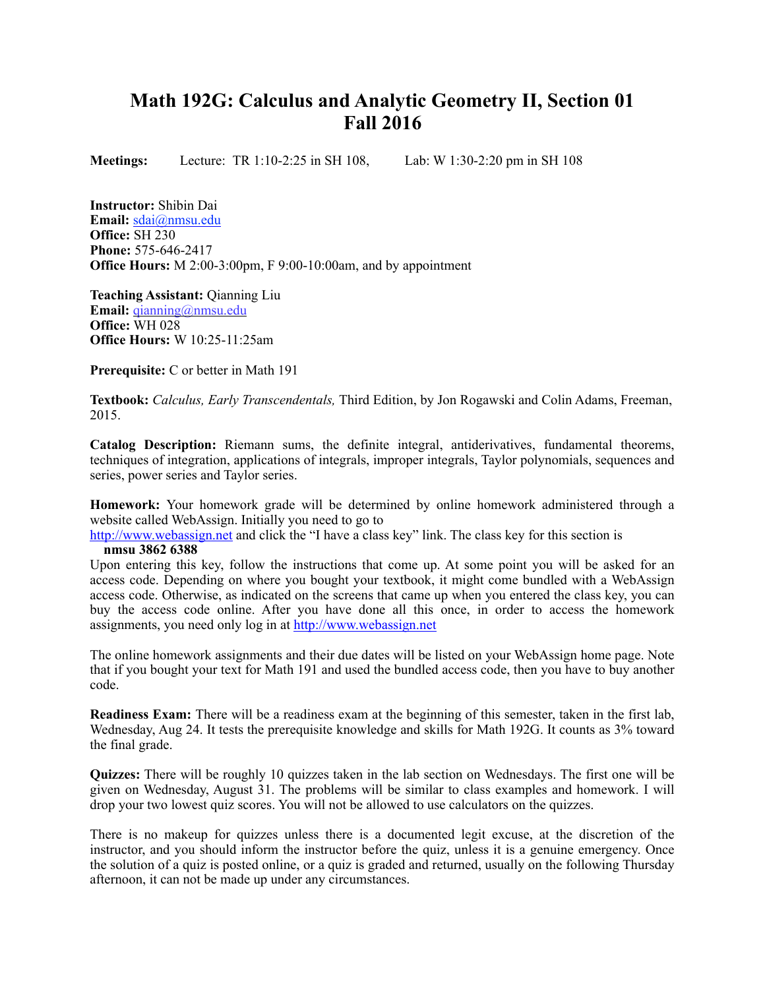## **Math 192G: Calculus and Analytic Geometry II, Section 01 Fall 2016**

**Meetings:** Lecture:TR 1:10-2:25 in SH 108, Lab: W 1:30-2:20 pm in SH 108

**Instructor:** Shibin Dai **Email:** [sdai@nmsu.edu](mailto:sdai@nmsu.edu?subject=) **Office:** SH 230 **Phone:** 575-646-2417 **Office Hours:** M 2:00-3:00pm, F 9:00-10:00am, and by appointment

**Teaching Assistant:** Qianning Liu **Email:** [qianning@nmsu.edu](mailto:qianning@nmsu.edu?subject=) **Office:** WH 028 **Office Hours:** W 10:25-11:25am

**Prerequisite:** C or better in Math 191

**Textbook:** *Calculus, Early Transcendentals,* Third Edition, by Jon Rogawski and Colin Adams, Freeman, 2015.

**Catalog Description:** Riemann sums, the definite integral, antiderivatives, fundamental theorems, techniques of integration, applications of integrals, improper integrals, Taylor polynomials, sequences and series, power series and Taylor series.

**Homework:** Your homework grade will be determined by online homework administered through a website called WebAssign. Initially you need to go to

[http://www.webassign.net](http://www.webassign.net/) and click the "I have a class key" link. The class key for this section is **nmsu 3862 6388** 

Upon entering this key, follow the instructions that come up. At some point you will be asked for an access code. Depending on where you bought your textbook, it might come bundled with a WebAssign access code. Otherwise, as indicated on the screens that came up when you entered the class key, you can buy the access code online. After you have done all this once, in order to access the homework assignments, you need only log in at [http://www.webassign.net](http://www.webassign.net/)

The online homework assignments and their due dates will be listed on your WebAssign home page. Note that if you bought your text for Math 191 and used the bundled access code, then you have to buy another code.

**Readiness Exam:** There will be a readiness exam at the beginning of this semester, taken in the first lab, Wednesday, Aug 24. It tests the prerequisite knowledge and skills for Math 192G. It counts as 3% toward the final grade.

**Quizzes:** There will be roughly 10 quizzes taken in the lab section on Wednesdays. The first one will be given on Wednesday, August 31. The problems will be similar to class examples and homework. I will drop your two lowest quiz scores. You will not be allowed to use calculators on the quizzes.

There is no makeup for quizzes unless there is a documented legit excuse, at the discretion of the instructor, and you should inform the instructor before the quiz, unless it is a genuine emergency. Once the solution of a quiz is posted online, or a quiz is graded and returned, usually on the following Thursday afternoon, it can not be made up under any circumstances.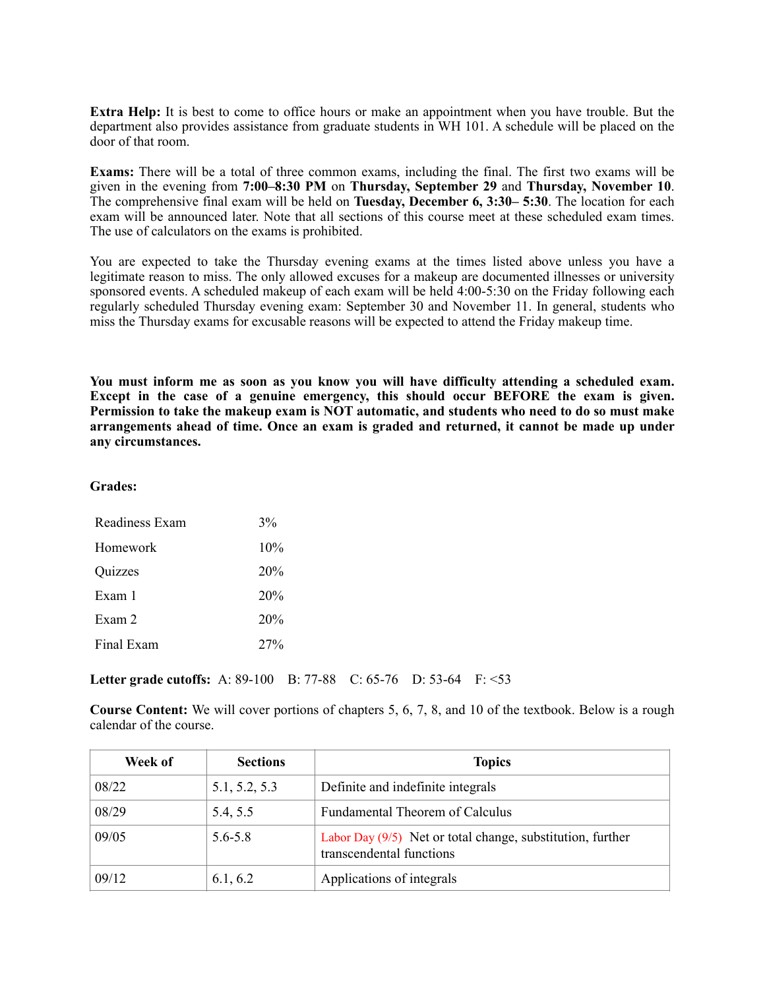**Extra Help:** It is best to come to office hours or make an appointment when you have trouble. But the department also provides assistance from graduate students in WH 101. A schedule will be placed on the door of that room.

**Exams:** There will be a total of three common exams, including the final. The first two exams will be given in the evening from **7:00–8:30 PM** on **Thursday, September 29** and **Thursday, November 10**. The comprehensive final exam will be held on **Tuesday, December 6, 3:30– 5:30**. The location for each exam will be announced later. Note that all sections of this course meet at these scheduled exam times. The use of calculators on the exams is prohibited.

You are expected to take the Thursday evening exams at the times listed above unless you have a legitimate reason to miss. The only allowed excuses for a makeup are documented illnesses or university sponsored events. A scheduled makeup of each exam will be held 4:00-5:30 on the Friday following each regularly scheduled Thursday evening exam: September 30 and November 11. In general, students who miss the Thursday exams for excusable reasons will be expected to attend the Friday makeup time.

**You must inform me as soon as you know you will have difficulty attending a scheduled exam. Except in the case of a genuine emergency, this should occur BEFORE the exam is given. Permission to take the makeup exam is NOT automatic, and students who need to do so must make arrangements ahead of time. Once an exam is graded and returned, it cannot be made up under any circumstances.**

## **Grades:**

| Readiness Exam | 3%  |
|----------------|-----|
| Homework       | 10% |
| Quizzes        | 20% |
| Exam 1         | 20% |
| Exam 2         | 20% |
| Final Exam     | 27% |

**Letter grade cutoffs:** A: 89-100 B: 77-88 C: 65-76 D: 53-64 F: <53

**Course Content:** We will cover portions of chapters 5, 6, 7, 8, and 10 of the textbook. Below is a rough calendar of the course.

| Week of | <b>Sections</b> | <b>Topics</b>                                                                          |
|---------|-----------------|----------------------------------------------------------------------------------------|
| 08/22   | 5.1, 5.2, 5.3   | Definite and indefinite integrals                                                      |
| 08/29   | 5.4, 5.5        | <b>Fundamental Theorem of Calculus</b>                                                 |
| 09/05   | $5.6 - 5.8$     | Labor Day (9/5) Net or total change, substitution, further<br>transcendental functions |
| 09/12   | 6.1, 6.2        | Applications of integrals                                                              |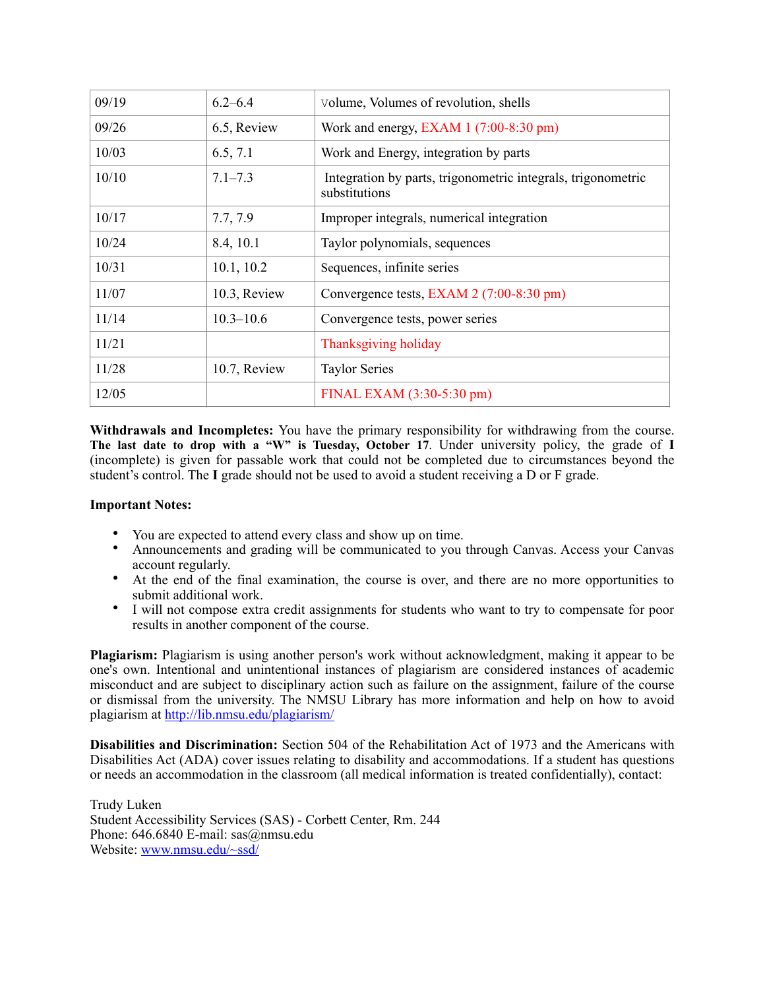| 09/19 | $6.2 - 6.4$   | Volume, Volumes of revolution, shells                                         |
|-------|---------------|-------------------------------------------------------------------------------|
| 09/26 | 6.5, Review   | Work and energy, EXAM $1(7:00-8:30 \text{ pm})$                               |
| 10/03 | 6.5, 7.1      | Work and Energy, integration by parts                                         |
| 10/10 | $7.1 - 7.3$   | Integration by parts, trigonometric integrals, trigonometric<br>substitutions |
| 10/17 | 7.7, 7.9      | Improper integrals, numerical integration                                     |
| 10/24 | 8.4, 10.1     | Taylor polynomials, sequences                                                 |
| 10/31 | 10.1, 10.2    | Sequences, infinite series                                                    |
| 11/07 | 10.3, Review  | Convergence tests, EXAM 2 (7:00-8:30 pm)                                      |
| 11/14 | $10.3 - 10.6$ | Convergence tests, power series                                               |
| 11/21 |               | Thanksgiving holiday                                                          |
| 11/28 | 10.7, Review  | <b>Taylor Series</b>                                                          |
| 12/05 |               | FINAL EXAM (3:30-5:30 pm)                                                     |

**Withdrawals and Incompletes:** You have the primary responsibility for withdrawing from the course. **The last date to drop with a "W" is Tuesday, October 17**. Under university policy, the grade of **I** (incomplete) is given for passable work that could not be completed due to circumstances beyond the student's control. The **I** grade should not be used to avoid a student receiving a D or F grade.

## **Important Notes:**

- You are expected to attend every class and show up on time.
- Announcements and grading will be communicated to you through Canvas. Access your Canvas account regularly.
- At the end of the final examination, the course is over, and there are no more opportunities to submit additional work.
- I will not compose extra credit assignments for students who want to try to compensate for poor results in another component of the course.

**Plagiarism:** Plagiarism is using another person's work without acknowledgment, making it appear to be one's own. Intentional and unintentional instances of plagiarism are considered instances of academic misconduct and are subject to disciplinary action such as failure on the assignment, failure of the course or dismissal from the university. The NMSU Library has more information and help on how to avoid plagiarism at <http://lib.nmsu.edu/plagiarism/>

**Disabilities and Discrimination:** Section 504 of the Rehabilitation Act of 1973 and the Americans with Disabilities Act (ADA) cover issues relating to disability and accommodations. If a student has questions or needs an accommodation in the classroom (all medical information is treated confidentially), contact:

Trudy Luken Student Accessibility Services (SAS) - Corbett Center, Rm. 244 Phone: 646.6840 E-mail: sas@nmsu.edu Website: [www.nmsu.edu/~ssd/](http://www.nmsu.edu/~ssd/)